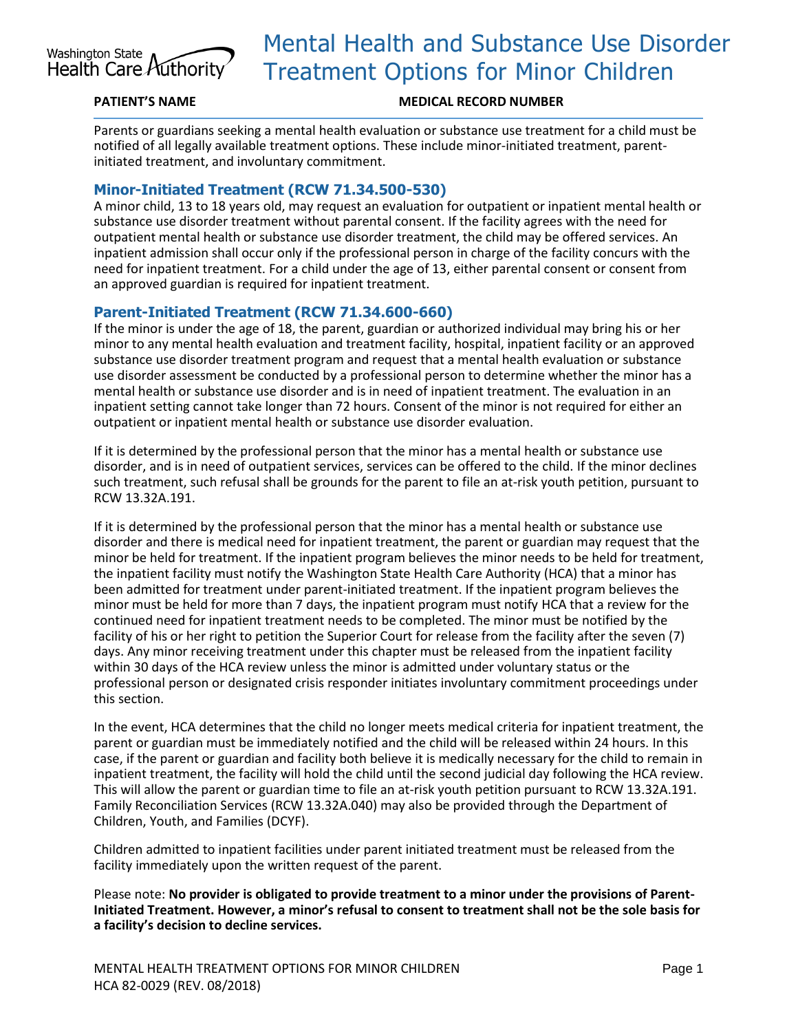

# Mental Health and Substance Use Disorder Treatment Options for Minor Children

#### **PATIENT'S NAME MEDICAL RECORD NUMBER**

Parents or guardians seeking a mental health evaluation or substance use treatment for a child must be notified of all legally available treatment options. These include minor-initiated treatment, parentinitiated treatment, and involuntary commitment.

## **Minor-Initiated Treatment (RCW 71.34.500-530)**

A minor child, 13 to 18 years old, may request an evaluation for outpatient or inpatient mental health or substance use disorder treatment without parental consent. If the facility agrees with the need for outpatient mental health or substance use disorder treatment, the child may be offered services. An inpatient admission shall occur only if the professional person in charge of the facility concurs with the need for inpatient treatment. For a child under the age of 13, either parental consent or consent from an approved guardian is required for inpatient treatment.

### **Parent-Initiated Treatment (RCW 71.34.600-660)**

If the minor is under the age of 18, the parent, guardian or authorized individual may bring his or her minor to any mental health evaluation and treatment facility, hospital, inpatient facility or an approved substance use disorder treatment program and request that a mental health evaluation or substance use disorder assessment be conducted by a professional person to determine whether the minor has a mental health or substance use disorder and is in need of inpatient treatment. The evaluation in an inpatient setting cannot take longer than 72 hours. Consent of the minor is not required for either an outpatient or inpatient mental health or substance use disorder evaluation.

If it is determined by the professional person that the minor has a mental health or substance use disorder, and is in need of outpatient services, services can be offered to the child. If the minor declines such treatment, such refusal shall be grounds for the parent to file an at-risk youth petition, pursuant to RCW 13.32A.191.

If it is determined by the professional person that the minor has a mental health or substance use disorder and there is medical need for inpatient treatment, the parent or guardian may request that the minor be held for treatment. If the inpatient program believes the minor needs to be held for treatment, the inpatient facility must notify the Washington State Health Care Authority (HCA) that a minor has been admitted for treatment under parent-initiated treatment. If the inpatient program believes the minor must be held for more than 7 days, the inpatient program must notify HCA that a review for the continued need for inpatient treatment needs to be completed. The minor must be notified by the facility of his or her right to petition the Superior Court for release from the facility after the seven (7) days. Any minor receiving treatment under this chapter must be released from the inpatient facility within 30 days of the HCA review unless the minor is admitted under voluntary status or the professional person or designated crisis responder initiates involuntary commitment proceedings under this section.

In the event, HCA determines that the child no longer meets medical criteria for inpatient treatment, the parent or guardian must be immediately notified and the child will be released within 24 hours. In this case, if the parent or guardian and facility both believe it is medically necessary for the child to remain in inpatient treatment, the facility will hold the child until the second judicial day following the HCA review. This will allow the parent or guardian time to file an at-risk youth petition pursuant to RCW 13.32A.191. Family Reconciliation Services (RCW 13.32A.040) may also be provided through the Department of Children, Youth, and Families (DCYF).

Children admitted to inpatient facilities under parent initiated treatment must be released from the facility immediately upon the written request of the parent.

Please note: **No provider is obligated to provide treatment to a minor under the provisions of Parent-Initiated Treatment. However, a minor's refusal to consent to treatment shall not be the sole basis for a facility's decision to decline services.**